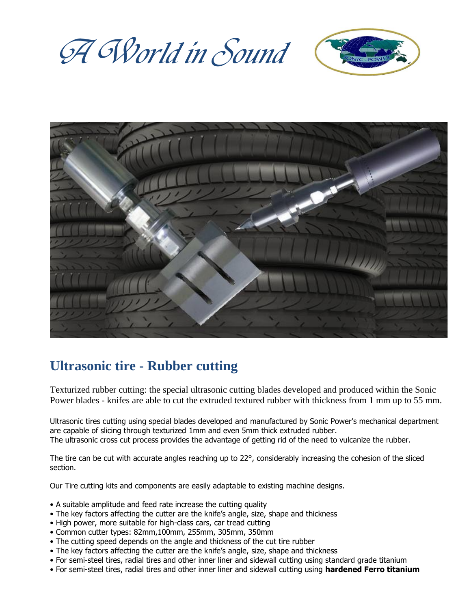A World in Sound





# **Ultrasonic tire - Rubber cutting**

Texturized rubber cutting: the special ultrasonic cutting blades developed and produced within the Sonic Power blades - knifes are able to cut the extruded textured rubber with thickness from 1 mm up to 55 mm.

Ultrasonic tires cutting using special blades developed and manufactured by Sonic Power's mechanical department are capable of slicing through texturized 1mm and even 5mm thick extruded rubber. The ultrasonic cross cut process provides the advantage of getting rid of the need to vulcanize the rubber.

The tire can be cut with accurate angles reaching up to 22°, considerably increasing the cohesion of the sliced section.

Our Tire cutting kits and components are easily adaptable to existing machine designs.

- A suitable amplitude and feed rate increase the cutting quality
- The key factors affecting the cutter are the knife's angle, size, shape and thickness
- High power, more suitable for high-class cars, car tread cutting
- Common cutter types: 82mm,100mm, 255mm, 305mm, 350mm
- The cutting speed depends on the angle and thickness of the cut tire rubber
- The key factors affecting the cutter are the knife's angle, size, shape and thickness
- For semi-steel tires, radial tires and other inner liner and sidewall cutting using standard grade titanium
- For semi-steel tires, radial tires and other inner liner and sidewall cutting using **hardened Ferro titanium**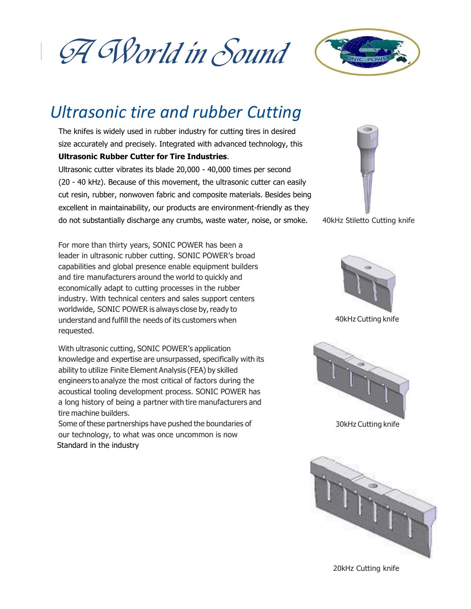A World in Sound



# *Ultrasonic tire and rubber Cutting*

The knifes is widely used in rubber industry for cutting tires in desired size accurately and precisely. Integrated with advanced technology, this

#### **Ultrasonic Rubber Cutter for Tire Industries**.

Ultrasonic cutter vibrates its blade 20,000 - 40,000 times per second (20 - 40 kHz). Because of this movement, the ultrasonic cutter can easily cut resin, rubber, nonwoven fabric and composite materials. Besides being excellent in maintainability, our products are environment-friendly as they do not substantially discharge any crumbs, waste water, noise, or smoke. 40kHz Stiletto Cutting knife

For more than thirty years, SONIC POWER has been a leader in ultrasonic rubber cutting. SONIC POWER's broad capabilities and global presence enable equipment builders and tire manufacturers around the world to quickly and economically adapt to cutting processes in the rubber industry. With technical centers and sales support centers worldwide, SONIC POWER is always close by, ready to understand and fulfill the needs of its customers when requested.

With ultrasonic cutting, SONIC POWER's application knowledge and expertise are unsurpassed, specifically with its ability to utilize Finite Element Analysis (FEA) by skilled engineers to analyze the most critical of factors during the acoustical tooling development process. SONIC POWER has a long history of being a partner with tire manufacturers and tire machine builders.

Some of these partnerships have pushed the boundaries of our technology, to what was once uncommon is now Standard in the industry



40kHz Cutting knife



30kHz Cutting knife



20kHz Cutting knife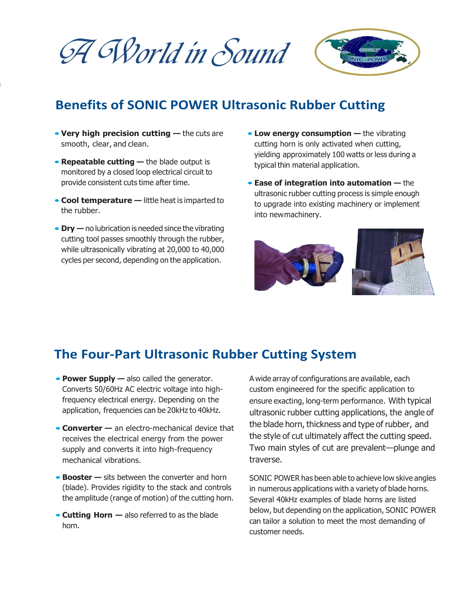A World in Sound



# **Benefits of SONIC POWER Ultrasonic Rubber Cutting**

- **Very high precision cutting —** the cuts are smooth, clear, and clean.
- **Repeatable cutting —** the blade output is monitored by a closed loop electrical circuit to provide consistent cuts time after time.
- **Cool temperature —** little heat is imparted to the rubber.
- **Dry —** no lubrication is needed since the vibrating cutting tool passes smoothly through the rubber, while ultrasonically vibrating at 20,000 to 40,000 cycles per second, depending on the application.
- **Low energy consumption —** the vibrating cutting horn is only activated when cutting, yielding approximately 100 watts or less during a typical thin material application.
- **Ease of integration into automation —** the ultrasonic rubber cutting process is simple enough to upgrade into existing machinery or implement into newmachinery.



### **The Four-Part Ultrasonic Rubber Cutting System**

- **Power Supply —** also called the generator. Converts 50/60Hz AC electric voltage into highfrequency electrical energy. Depending on the application, frequencies can be 20kHz to 40kHz.
- **Converter —** an electro-mechanical device that receives the electrical energy from the power supply and converts it into high-frequency mechanical vibrations.
- **Booster —** sits between the converter and horn (blade). Provides rigidity to the stack and controls the amplitude (range of motion) of the cutting horn.
- **Cutting Horn —** also referred to as the blade horn.

A wide array of configurations are available, each custom engineered for the specific application to ensure exacting, long-term performance. With typical ultrasonic rubber cutting applications, the angle of the blade horn, thickness and type of rubber, and the style of cut ultimately affect the cutting speed. Two main styles of cut are prevalent—plunge and traverse.

SONIC POWER has been able to achieve low skive angles in numerous applications with a variety of blade horns. Several 40kHz examples of blade horns are listed below, but depending on the application, SONIC POWER can tailor a solution to meet the most demanding of customer needs.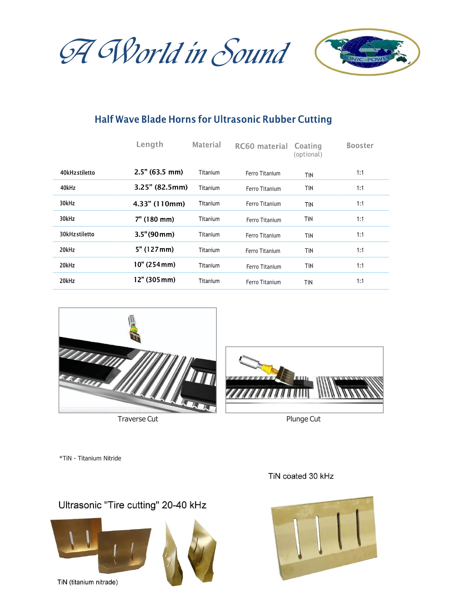A World in Sound



# Half Wave Blade Horns for Ultrasonic Rubber Cutting

|                | Length          | <b>Material</b> | RC60 material  | Coating<br>(optional) | <b>Booster</b> |
|----------------|-----------------|-----------------|----------------|-----------------------|----------------|
| 40kHz stiletto | 2.5" (63.5 mm)  | Titanium        | Ferro Titanium | TiN                   | 1:1            |
| 40kHz          | 3.25" (82.5mm)  | Titanium        | Ferro Titanium | TiN                   | 1:1            |
| 30kHz          | $4.33"$ (110mm) | Titanium        | Ferro Titanium | TiN                   | 1:1            |
| 30kHz          | 7" (180 mm)     | Titanium        | Ferro Titanium | TiN                   | 1:1            |
| 30kHzstiletto  | 3.5" (90mm)     | Titanium        | Ferro Titanium | TiN                   | 1:1            |
| 20kHz          | 5" (127mm)      | Titanium        | Ferro Titanium | TiN                   | 1:1            |
| 20kHz          | 10" (254 mm)    | Titanium        | Ferro Titanium | TiN                   | 1:1            |
| 20kHz          | $12"$ (305 mm)  | Titanium        | Ferro Titanium | TiN                   | 1:1            |



Traverse Cut **Plunge Cut** Plunge Cut



\*TiN - Titanium Nitride

#### Ultrasonic "Tire cutting" 20-40 kHz



TiN (titanium nitrade)





TiN coated 30 kHz